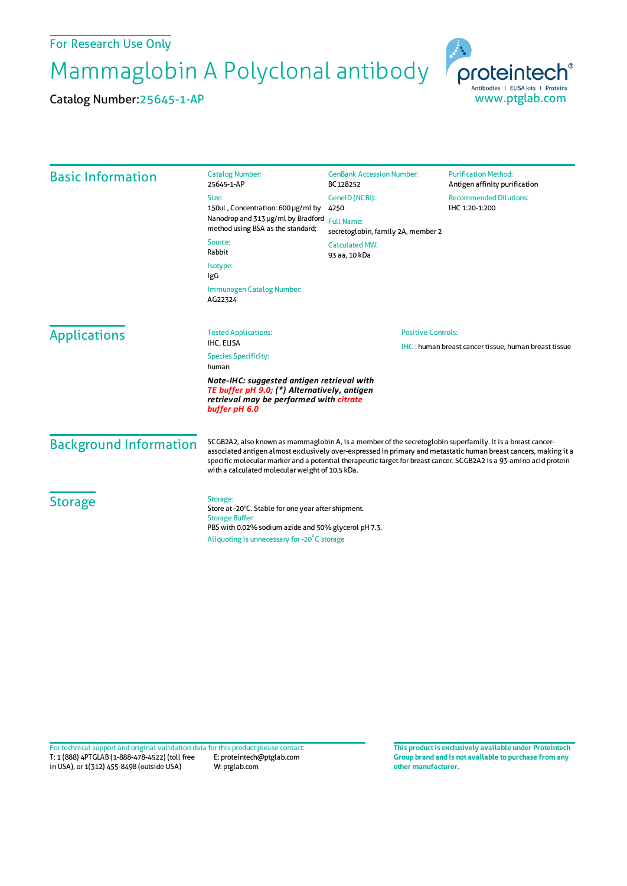## For Research Use Only

Mammaglobin A Polyclonal antibody

Catalog Number:25645-1-AP



| <b>Basic Information</b>      | <b>Catalog Number:</b>                                                                                                                                                                                                                                                                                                                                                                                  | <b>GenBank Accession Number:</b>                                                              | <b>Purification Method:</b>                                                      |  |
|-------------------------------|---------------------------------------------------------------------------------------------------------------------------------------------------------------------------------------------------------------------------------------------------------------------------------------------------------------------------------------------------------------------------------------------------------|-----------------------------------------------------------------------------------------------|----------------------------------------------------------------------------------|--|
|                               | 25645-1-AP<br>Size:<br>150ul, Concentration: 600 µg/ml by<br>Nanodrop and 313 µg/ml by Bradford<br>method using BSA as the standard;                                                                                                                                                                                                                                                                    | BC128252<br>GeneID (NCBI):<br>4250<br><b>Full Name:</b><br>secretoglobin, family 2A, member 2 | Antigen affinity purification<br><b>Recommended Dilutions:</b><br>IHC 1:20-1:200 |  |
|                               | Source:<br>Rabbit<br>Isotype:<br>IgG<br>Immunogen Catalog Number:<br>AG22324                                                                                                                                                                                                                                                                                                                            | <b>Calculated MW:</b><br>93 aa, 10 kDa                                                        |                                                                                  |  |
|                               |                                                                                                                                                                                                                                                                                                                                                                                                         |                                                                                               |                                                                                  |  |
| <b>Applications</b>           | <b>Tested Applications:</b><br>IHC, ELISA                                                                                                                                                                                                                                                                                                                                                               |                                                                                               | <b>Positive Controls:</b>                                                        |  |
|                               | <b>Species Specificity:</b><br>human                                                                                                                                                                                                                                                                                                                                                                    | IHC: human breast cancer tissue, human breast tissue                                          |                                                                                  |  |
|                               | Note-IHC: suggested antigen retrieval with<br>TE buffer pH 9.0; (*) Alternatively, antigen<br>retrieval may be performed with citrate<br>buffer pH 6.0                                                                                                                                                                                                                                                  |                                                                                               |                                                                                  |  |
| <b>Background Information</b> | SCGB2A2, also known as mammaglobin A, is a member of the secretoglobin superfamily. It is a breast cancer-<br>associated antigen almost exclusively over-expressed in primary and metastatic human breast cancers, making it a<br>specific molecular marker and a potential therapeutic target for breast cancer. SCGB2A2 is a 93-amino acid protein<br>with a calculated molecular weight of 10.5 kDa. |                                                                                               |                                                                                  |  |
| <b>Storage</b>                | Storage:<br>Store at -20°C. Stable for one year after shipment.<br><b>Storage Buffer:</b><br>PBS with 0.02% sodium azide and 50% glycerol pH 7.3.<br>Aliquoting is unnecessary for -20°C storage                                                                                                                                                                                                        |                                                                                               |                                                                                  |  |

T: 1 (888) 4PTGLAB (1-888-478-4522) (toll free in USA), or 1(312) 455-8498 (outside USA) E: proteintech@ptglab.com W: ptglab.com Fortechnical support and original validation data forthis product please contact: **This productis exclusively available under Proteintech**

**Group brand and is not available to purchase from any other manufacturer.**